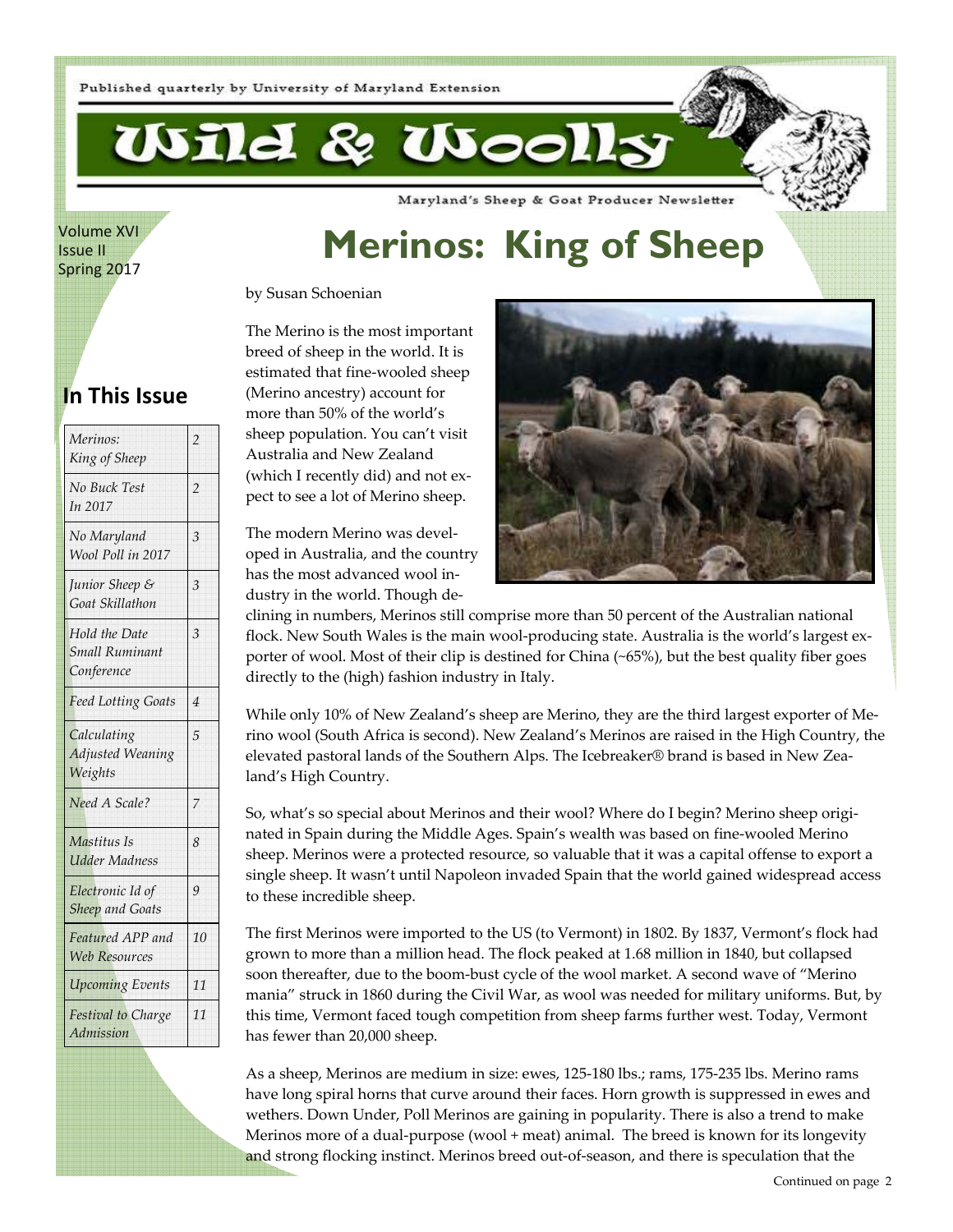

Volume XVI Issue II Spring 2017

# **Merinos: King of Sheep**

Maryland's Sheep & Goat Producer Newsletter

by Susan Schoenian

### **In This Issue**

| Merinos:<br>King of Sheep                                   | $\overline{2}$ |
|-------------------------------------------------------------|----------------|
| No Buck Test<br>In 2017                                     | 2              |
| No Maryland<br>Wool Poll in 2017                            | $\overline{3}$ |
| Junior Sheep &<br>Goat Skillathon                           | 3              |
| <b>Hold the Date</b><br><b>Small Ruminant</b><br>Conference | 3              |
| <b>Feed Lotting Goats</b>                                   | 4              |
| Calculating<br><b>Adjusted Weaning</b><br>Weights           | 5              |
| Need A Scale?                                               | $\overline{7}$ |
| Mastitus Is<br><b>Udder Madness</b>                         | 8              |
| Electronic Id of<br><b>Sheep and Goats</b>                  | 9              |
| Featured APP and<br><b>Web Resources</b>                    | 10             |
| <b>Upcoming Events</b>                                      | 11             |
| Festival to Charge<br>Admission                             | 11             |

The Merino is the most important breed of sheep in the world. It is estimated that fine-wooled sheep (Merino ancestry) account for more than 50% of the world's sheep population. You can't visit Australia and New Zealand (which I recently did) and not expect to see a lot of Merino sheep.

The modern Merino was developed in Australia, and the country has the most advanced wool industry in the world. Though de-



clining in numbers, Merinos still comprise more than 50 percent of the Australian national flock. New South Wales is the main wool-producing state. Australia is the world's largest exporter of wool. Most of their clip is destined for China (~65%), but the best quality fiber goes directly to the (high) fashion industry in Italy.

While only 10% of New Zealand's sheep are Merino, they are the third largest exporter of Merino wool (South Africa is second). New Zealand's Merinos are raised in the High Country, the elevated pastoral lands of the Southern Alps. The Icebreaker® brand is based in New Zealand's High Country.

So, what's so special about Merinos and their wool? Where do I begin? Merino sheep originated in Spain during the Middle Ages. Spain's wealth was based on fine-wooled Merino sheep. Merinos were a protected resource, so valuable that it was a capital offense to export a single sheep. It wasn't until Napoleon invaded Spain that the world gained widespread access to these incredible sheep.

The first Merinos were imported to the US (to Vermont) in 1802. By 1837, Vermont's flock had grown to more than a million head. The flock peaked at 1.68 million in 1840, but collapsed soon thereafter, due to the boom-bust cycle of the wool market. A second wave of "Merino mania" struck in 1860 during the Civil War, as wool was needed for military uniforms. But, by this time, Vermont faced tough competition from sheep farms further west. Today, Vermont has fewer than 20,000 sheep.

As a sheep, Merinos are medium in size: ewes, 125-180 lbs.; rams, 175-235 lbs. Merino rams have long spiral horns that curve around their faces. Horn growth is suppressed in ewes and wethers. Down Under, Poll Merinos are gaining in popularity. There is also a trend to make Merinos more of a dual-purpose (wool + meat) animal. The breed is known for its longevity and strong flocking instinct. Merinos breed out-of-season, and there is speculation that the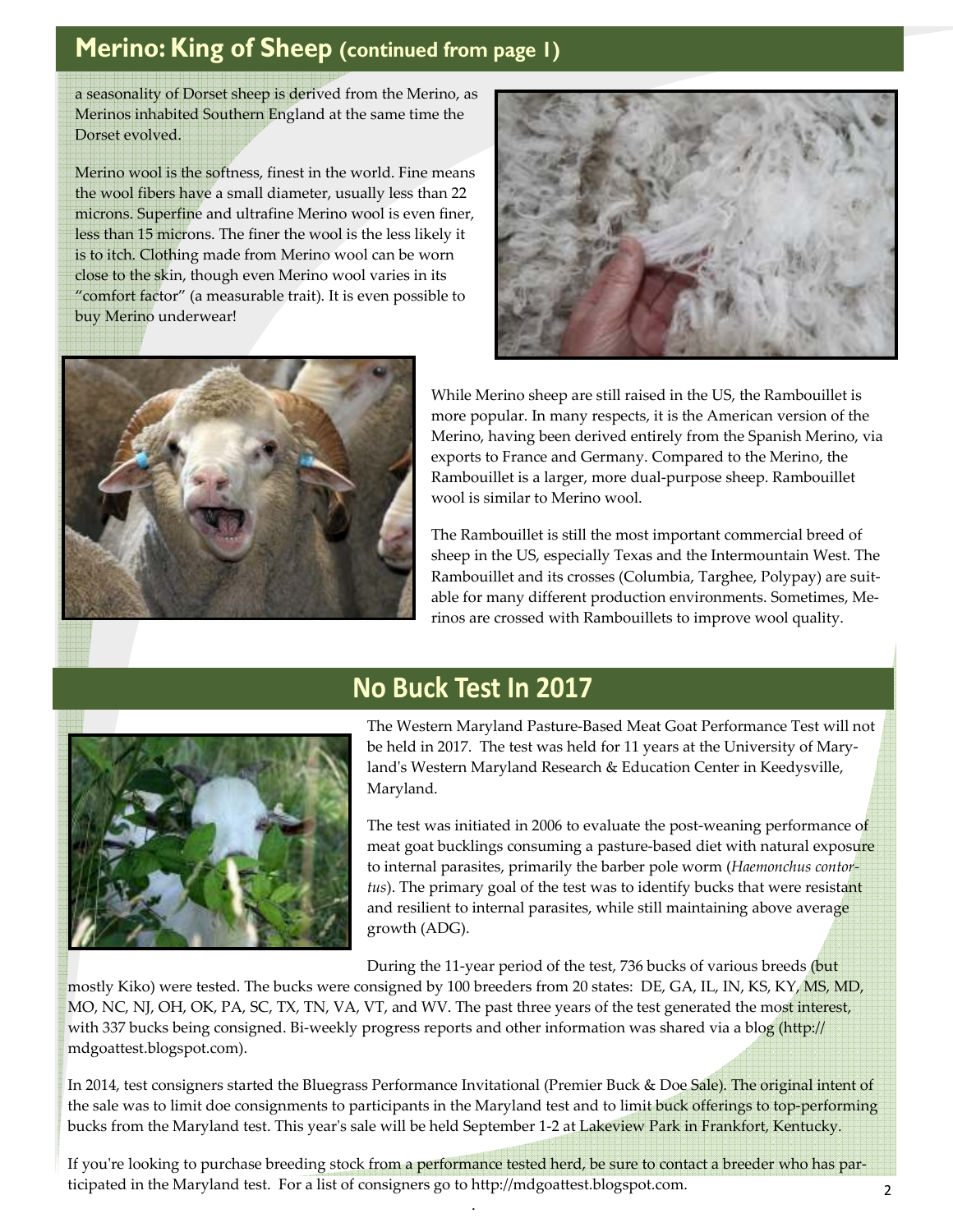# **Merino: King of Sheep (continued from page 1)**

a seasonality of Dorset sheep is derived from the Merino, as Merinos inhabited Southern England at the same time the Dorset evolved.

Merino wool is the softness, finest in the world. Fine means the wool fibers have a small diameter, usually less than 22 microns. Superfine and ultrafine Merino wool is even finer, less than 15 microns. The finer the wool is the less likely it is to itch. Clothing made from Merino wool can be worn close to the skin, though even Merino wool varies in its "comfort factor" (a measurable trait). It is even possible to buy Merino underwear!





While Merino sheep are still raised in the US, the Rambouillet is more popular. In many respects, it is the American version of the Merino, having been derived entirely from the Spanish Merino, via exports to France and Germany. Compared to the Merino, the Rambouillet is a larger, more dual-purpose sheep. Rambouillet wool is similar to Merino wool.

The Rambouillet is still the most important commercial breed of sheep in the US, especially Texas and the Intermountain West. The Rambouillet and its crosses (Columbia, Targhee, Polypay) are suitable for many different production environments. Sometimes, Merinos are crossed with Rambouillets to improve wool quality.



### **No Buck Test In 2017**

The Western Maryland Pasture-Based Meat Goat Performance Test will not be held in 2017. The test was held for 11 years at the University of Maryland's Western Maryland Research & Education Center in Keedysville, Maryland.

The test was initiated in 2006 to evaluate the post-weaning performance of meat goat bucklings consuming a pasture-based diet with natural exposure to internal parasites, primarily the barber pole worm (*Haemonchus contortus*). The primary goal of the test was to identify bucks that were resistant and resilient to internal parasites, while still maintaining above average growth (ADG).

During the 11-year period of the test, 736 bucks of various breeds (but

mostly Kiko) were tested. The bucks were consigned by 100 breeders from 20 states: DE, GA, IL, IN, KS, KY, MS, MD, MO, NC, NJ, OH, OK, PA, SC, TX, TN, VA, VT, and WV. The past three years of the test generated the most interest, with 337 bucks being consigned. Bi-weekly progress reports and other information was shared via a blog (http:// mdgoattest.blogspot.com).

In 2014, test consigners started the Bluegrass Performance Invitational (Premier Buck & Doe Sale). The original intent of the sale was to limit doe consignments to participants in the Maryland test and to limit buck offerings to top-performing bucks from the Maryland test. This year's sale will be held September 1-2 at Lakeview Park in Frankfort, Kentucky.

If you're looking to purchase breeding stock from a performance tested herd, be sure to contact a breeder who has participated in the Maryland test. For a list of consigners go to http://mdgoattest.blogspot.com.

.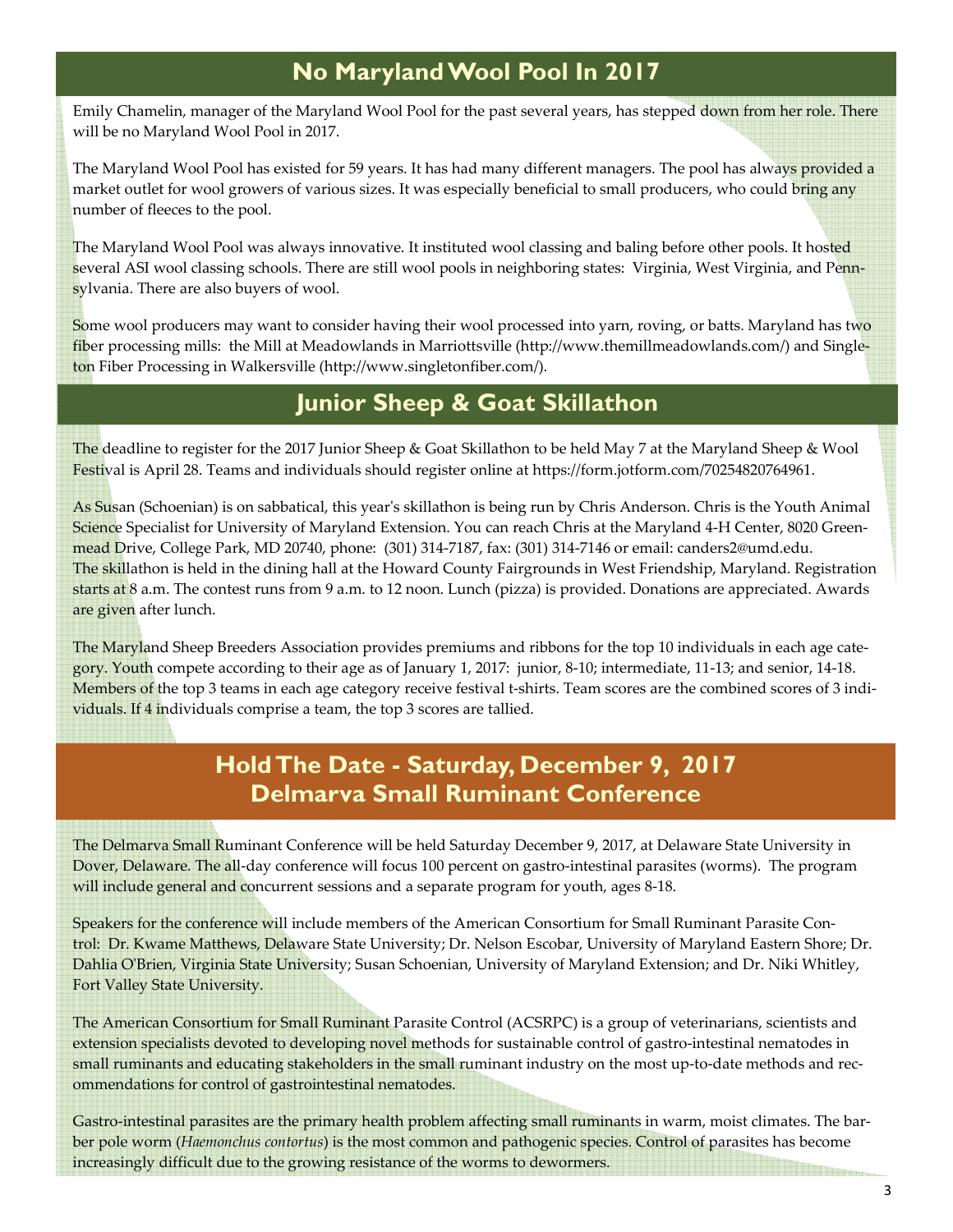### **No Maryland Wool Pool In 2017**

Emily Chamelin, manager of the Maryland Wool Pool for the past several years, has stepped down from her role. There will be no Maryland Wool Pool in 2017.

The Maryland Wool Pool has existed for 59 years. It has had many different managers. The pool has always provided a market outlet for wool growers of various sizes. It was especially beneficial to small producers, who could bring any number of fleeces to the pool.

The Maryland Wool Pool was always innovative. It instituted wool classing and baling before other pools. It hosted several ASI wool classing schools. There are still wool pools in neighboring states: Virginia, West Virginia, and Pennsylvania. There are also buyers of wool.

Some wool producers may want to consider having their wool processed into yarn, roving, or batts. Maryland has two fiber processing mills: the Mill at Meadowlands in Marriottsville (http://www.themillmeadowlands.com/) and Singleton Fiber Processing in Walkersville (http://www.singletonfiber.com/).

### **Junior Sheep & Goat Skillathon**

The deadline to register for the 2017 Junior Sheep & Goat Skillathon to be held May 7 at the Maryland Sheep & Wool Festival is April 28. Teams and individuals should register online at https://form.jotform.com/70254820764961.

As Susan (Schoenian) is on sabbatical, this year's skillathon is being run by Chris Anderson. Chris is the Youth Animal Science Specialist for University of Maryland Extension. You can reach Chris at the Maryland 4-H Center, 8020 Greenmead Drive, College Park, MD 20740, phone: (301) 314-7187, fax: (301) 314-7146 or email: canders2@umd.edu. The skillathon is held in the dining hall at the Howard County Fairgrounds in West Friendship, Maryland. Registration starts at 8 a.m. The contest runs from 9 a.m. to 12 noon. Lunch (pizza) is provided. Donations are appreciated. Awards are given after lunch.

The Maryland Sheep Breeders Association provides premiums and ribbons for the top 10 individuals in each age category. Youth compete according to their age as of January 1, 2017: junior, 8-10; intermediate, 11-13; and senior, 14-18. Members of the top 3 teams in each age category receive festival t-shirts. Team scores are the combined scores of 3 individuals. If 4 individuals comprise a team, the top 3 scores are tallied.

### **Hold The Date - Saturday, December 9, 2017 Delmarva Small Ruminant Conference**

The Delmarva Small Ruminant Conference will be held Saturday December 9, 2017, at Delaware State University in Dover, Delaware. The all-day conference will focus 100 percent on gastro-intestinal parasites (worms). The program will include general and concurrent sessions and a separate program for youth, ages 8-18.

Speakers for the conference will include members of the American Consortium for Small Ruminant Parasite Control: Dr. Kwame Matthews, Delaware State University; Dr. Nelson Escobar, University of Maryland Eastern Shore; Dr. Dahlia O'Brien, Virginia State University; Susan Schoenian, University of Maryland Extension; and Dr. Niki Whitley, Fort Valley State University.

The American Consortium for Small Ruminant Parasite Control (ACSRPC) is a group of veterinarians, scientists and extension specialists devoted to developing novel methods for sustainable control of gastro-intestinal nematodes in small ruminants and educating stakeholders in the small ruminant industry on the most up-to-date methods and recommendations for control of gastrointestinal nematodes.

Gastro-intestinal parasites are the primary health problem affecting small ruminants in warm, moist climates. The barber pole worm (*Haemonchus contortus*) is the most common and pathogenic species. Control of parasites has become increasingly difficult due to the growing resistance of the worms to dewormers.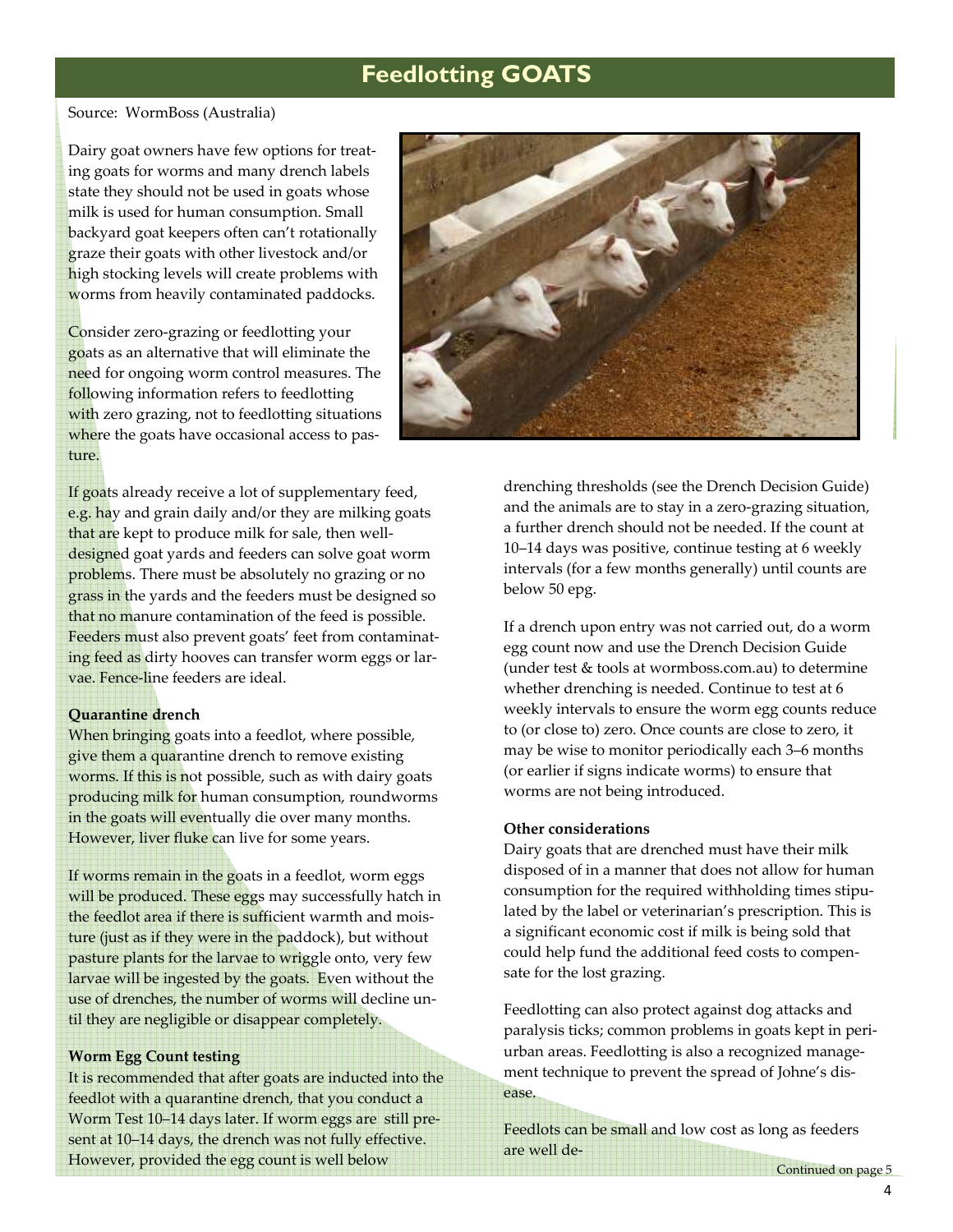### **Feedlotting GOATS**

#### Source: WormBoss (Australia)

Dairy goat owners have few options for treating goats for worms and many drench labels state they should not be used in goats whose milk is used for human consumption. Small backyard goat keepers often can't rotationally graze their goats with other livestock and/or high stocking levels will create problems with worms from heavily contaminated paddocks.

Consider zero-grazing or feedlotting your goats as an alternative that will eliminate the need for ongoing worm control measures. The following information refers to feedlotting with zero grazing, not to feedlotting situations where the goats have occasional access to pasture.

If goats already receive a lot of supplementary feed, e.g. hay and grain daily and/or they are milking goats that are kept to produce milk for sale, then welldesigned goat yards and feeders can solve goat worm problems. There must be absolutely no grazing or no grass in the yards and the feeders must be designed so that no manure contamination of the feed is possible. Feeders must also prevent goats' feet from contaminating feed as dirty hooves can transfer worm eggs or larvae. Fence-line feeders are ideal.

#### **Quarantine drench**

When bringing goats into a feedlot, where possible, give them a quarantine drench to remove existing worms. If this is not possible, such as with dairy goats producing milk for human consumption, roundworms in the goats will eventually die over many months. However, liver fluke can live for some years.

If worms remain in the goats in a feedlot, worm eggs will be produced. These eggs may successfully hatch in the feedlot area if there is sufficient warmth and moisture (just as if they were in the paddock), but without pasture plants for the larvae to wriggle onto, very few larvae will be ingested by the goats. Even without the use of drenches, the number of worms will decline until they are negligible or disappear completely.

#### **Worm Egg Count testing**

It is recommended that after goats are inducted into the feedlot with a quarantine drench, that you conduct a Worm Test 10–14 days later. If worm eggs are still present at 10–14 days, the drench was not fully effective. However, provided the egg count is well below and we went at the continued on page 5



drenching thresholds (see the Drench Decision Guide) and the animals are to stay in a zero-grazing situation, a further drench should not be needed. If the count at 10–14 days was positive, continue testing at 6 weekly intervals (for a few months generally) until counts are below 50 epg.

If a drench upon entry was not carried out, do a worm egg count now and use the Drench Decision Guide (under test & tools at wormboss.com.au) to determine whether drenching is needed. Continue to test at 6 weekly intervals to ensure the worm egg counts reduce to (or close to) zero. Once counts are close to zero, it may be wise to monitor periodically each 3–6 months (or earlier if signs indicate worms) to ensure that worms are not being introduced.

#### **Other considerations**

are well de-

Dairy goats that are drenched must have their milk disposed of in a manner that does not allow for human consumption for the required withholding times stipulated by the label or veterinarian's prescription. This is a significant economic cost if milk is being sold that could help fund the additional feed costs to compensate for the lost grazing.

Feedlotting can also protect against dog attacks and paralysis ticks; common problems in goats kept in periurban areas. Feedlotting is also a recognized management technique to prevent the spread of Johne's disease.

Feedlots can be small and low cost as long as feeders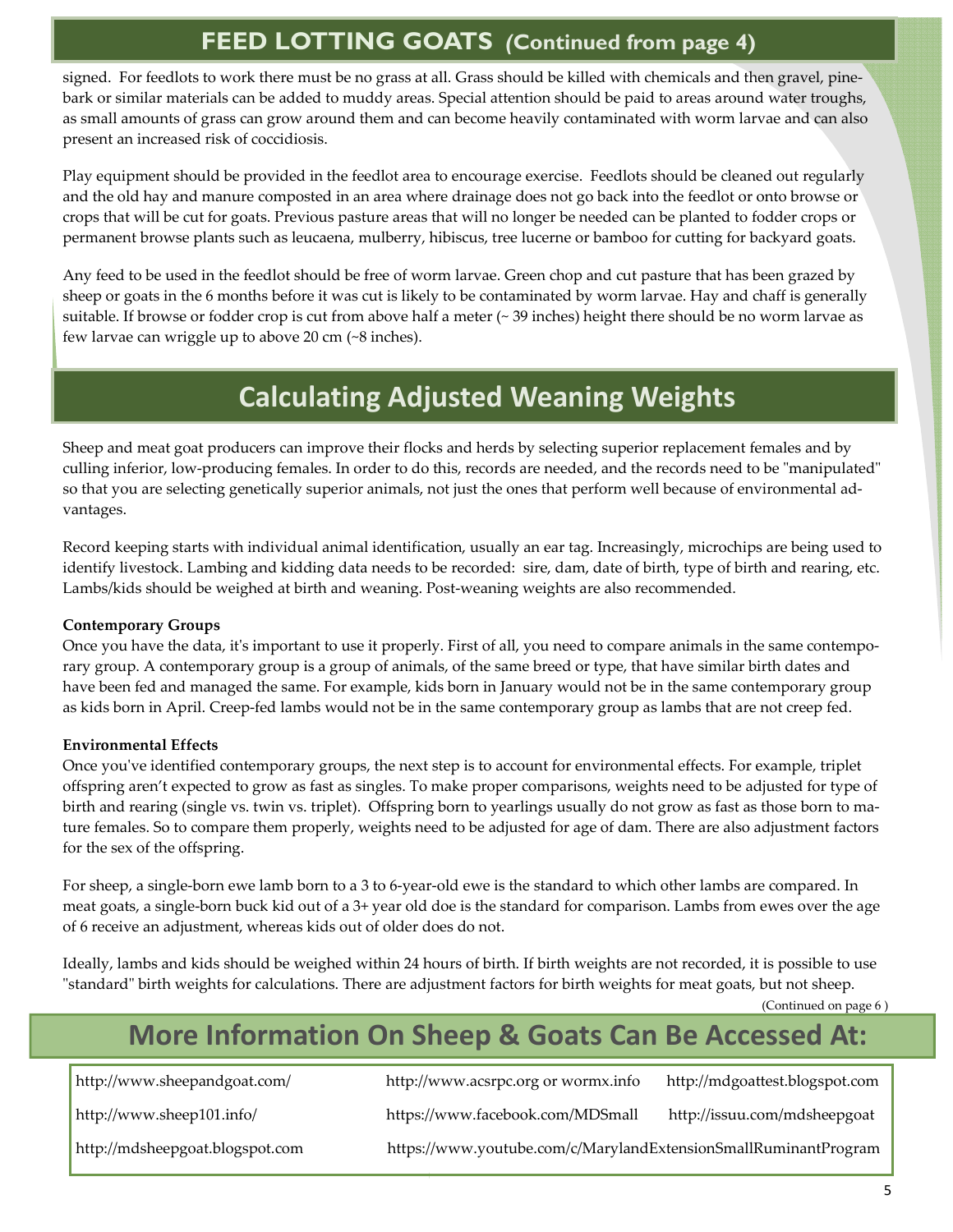### **FEED LOTTING GOATS** *(***Continued from page 4)**

signed. For feedlots to work there must be no grass at all. Grass should be killed with chemicals and then gravel, pinebark or similar materials can be added to muddy areas. Special attention should be paid to areas around water troughs, as small amounts of grass can grow around them and can become heavily contaminated with worm larvae and can also present an increased risk of coccidiosis.

Play equipment should be provided in the feedlot area to encourage exercise. Feedlots should be cleaned out regularly and the old hay and manure composted in an area where drainage does not go back into the feedlot or onto browse or crops that will be cut for goats. Previous pasture areas that will no longer be needed can be planted to fodder crops or permanent browse plants such as leucaena, mulberry, hibiscus, tree lucerne or bamboo for cutting for backyard goats.

Any feed to be used in the feedlot should be free of worm larvae. Green chop and cut pasture that has been grazed by sheep or goats in the 6 months before it was cut is likely to be contaminated by worm larvae. Hay and chaff is generally suitable. If browse or fodder crop is cut from above half a meter (~ 39 inches) height there should be no worm larvae as few larvae can wriggle up to above 20 cm (~8 inches).

# **Calculating Adjusted Weaning Weights**

Sheep and meat goat producers can improve their flocks and herds by selecting superior replacement females and by culling inferior, low-producing females. In order to do this, records are needed, and the records need to be "manipulated" so that you are selecting genetically superior animals, not just the ones that perform well because of environmental advantages.

Record keeping starts with individual animal identification, usually an ear tag. Increasingly, microchips are being used to identify livestock. Lambing and kidding data needs to be recorded: sire, dam, date of birth, type of birth and rearing, etc. Lambs/kids should be weighed at birth and weaning. Post-weaning weights are also recommended.

### **Contemporary Groups**

Once you have the data, it's important to use it properly. First of all, you need to compare animals in the same contemporary group. A contemporary group is a group of animals, of the same breed or type, that have similar birth dates and have been fed and managed the same. For example, kids born in January would not be in the same contemporary group as kids born in April. Creep-fed lambs would not be in the same contemporary group as lambs that are not creep fed.

### **Environmental Effects**

Once you've identified contemporary groups, the next step is to account for environmental effects. For example, triplet offspring aren't expected to grow as fast as singles. To make proper comparisons, weights need to be adjusted for type of birth and rearing (single vs. twin vs. triplet). Offspring born to yearlings usually do not grow as fast as those born to mature females. So to compare them properly, weights need to be adjusted for age of dam. There are also adjustment factors for the sex of the offspring.

For sheep, a single-born ewe lamb born to a 3 to 6-year-old ewe is the standard to which other lambs are compared. In meat goats, a single-born buck kid out of a 3+ year old doe is the standard for comparison. Lambs from ewes over the age of 6 receive an adjustment, whereas kids out of older does do not.

Ideally, lambs and kids should be weighed within 24 hours of birth. If birth weights are not recorded, it is possible to use "standard" birth weights for calculations. There are adjustment factors for birth weights for meat goats, but not sheep.

(Continued on page 6 )

# **More Information On Sheep & Goats Can Be Accessed At:**

http://www.sheepandgoat.com/ http://www.acsrpc.org or wormx.info http://mdgoattest.blogspot.com

http://www.sheep101.info/ https://www.facebook.com/MDSmall http://issuu.com/mdsheepgoat

http://mdsheepgoat.blogspot.com https://www.youtube.com/c/MarylandExtensionSmallRuminantProgram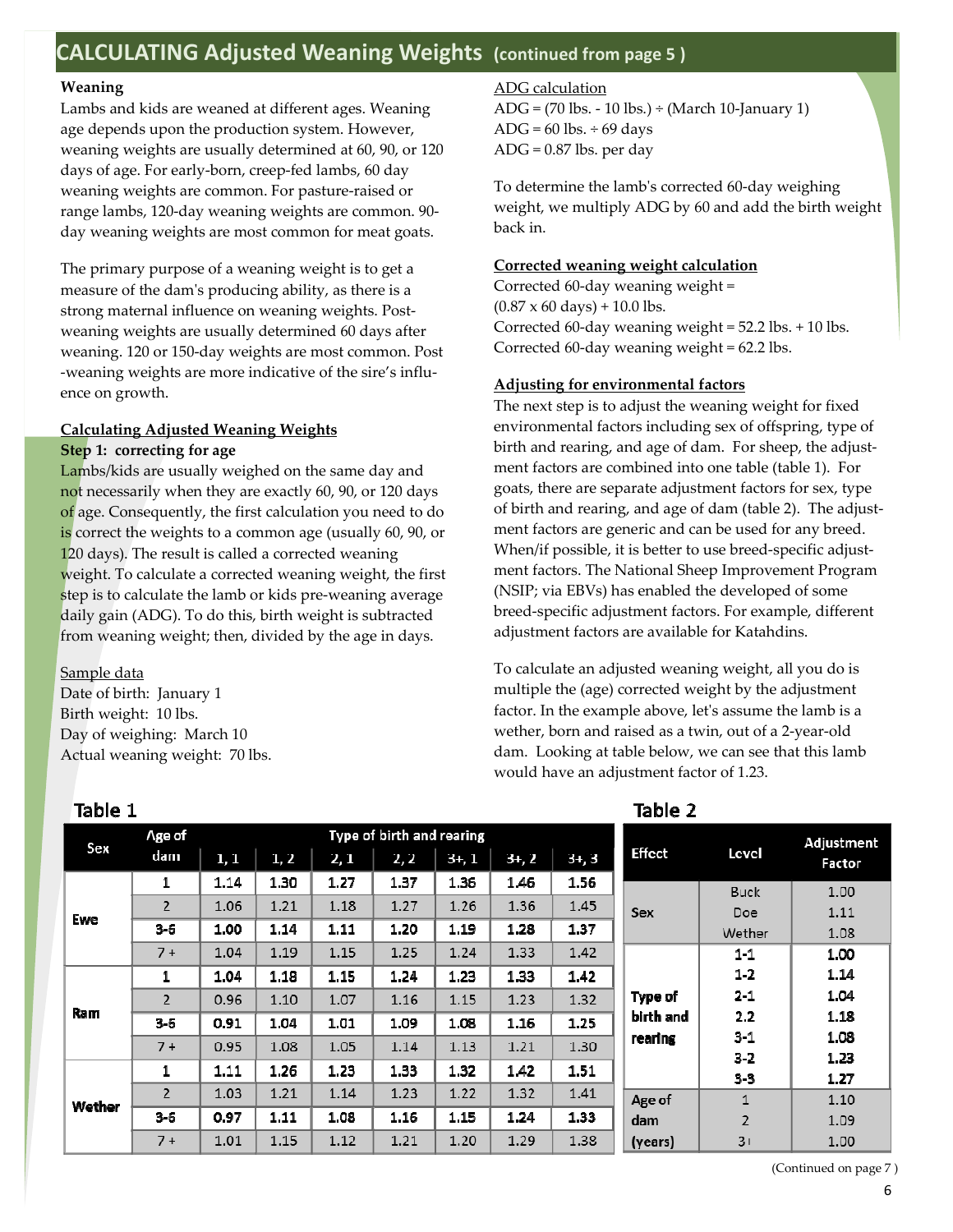### **CALCULATING Adjusted Weaning Weights (continued from page 5 )**

#### **Weaning**

Lambs and kids are weaned at different ages. Weaning age depends upon the production system. However, weaning weights are usually determined at 60, 90, or 120 days of age. For early-born, creep-fed lambs, 60 day weaning weights are common. For pasture-raised or range lambs, 120-day weaning weights are common. 90 day weaning weights are most common for meat goats.

The primary purpose of a weaning weight is to get a measure of the dam's producing ability, as there is a strong maternal influence on weaning weights. Postweaning weights are usually determined 60 days after weaning. 120 or 150-day weights are most common. Post -weaning weights are more indicative of the sire's influence on growth.

#### **Calculating Adjusted Weaning Weights**

#### **Step 1: correcting for age**

Lambs/kids are usually weighed on the same day and not necessarily when they are exactly 60, 90, or 120 days of age. Consequently, the first calculation you need to do is correct the weights to a common age (usually 60, 90, or 120 days). The result is called a corrected weaning weight. To calculate a corrected weaning weight, the first step is to calculate the lamb or kids pre-weaning average daily gain (ADG). To do this, birth weight is subtracted from weaning weight; then, divided by the age in days.

Sample data

Date of birth: January 1 Birth weight: 10 lbs. Day of weighing: March 10 Actual weaning weight: 70 lbs.

#### ADG calculation

ADG = (70 lbs. - 10 lbs.) ÷ (March 10-January 1) ADG =  $60$  lbs.  $\div$  69 days ADG = 0.87 lbs. per day

To determine the lamb's corrected 60-day weighing weight, we multiply ADG by 60 and add the birth weight back in.

#### **Corrected weaning weight calculation**

Corrected 60-day weaning weight =  $(0.87 \times 60 \text{ days}) + 10.0 \text{ lbs}.$ Corrected 60-day weaning weight = 52.2 lbs. + 10 lbs. Corrected 60-day weaning weight = 62.2 lbs.

#### **Adjusting for environmental factors**

The next step is to adjust the weaning weight for fixed environmental factors including sex of offspring, type of birth and rearing, and age of dam. For sheep, the adjustment factors are combined into one table (table 1). For goats, there are separate adjustment factors for sex, type of birth and rearing, and age of dam (table 2). The adjustment factors are generic and can be used for any breed. When/if possible, it is better to use breed-specific adjustment factors. The National Sheep Improvement Program (NSIP; via EBVs) has enabled the developed of some breed-specific adjustment factors. For example, different adjustment factors are available for Katahdins.

To calculate an adjusted weaning weight, all you do is multiple the (age) corrected weight by the adjustment factor. In the example above, let's assume the lamb is a wether, born and raised as a twin, out of a 2-year-old dam. Looking at table below, we can see that this lamb would have an adjustment factor of 1.23.

Table 2

|            | Age of                   |      | Type of birth and rearing |      |      |         |       |          |                |                  | Adjustment   |
|------------|--------------------------|------|---------------------------|------|------|---------|-------|----------|----------------|------------------|--------------|
| Sex        | dam                      | 1,1  | 1, 2                      | 2, 1 | 2, 2 | $3+, 1$ | $3+2$ | $3+$ , 3 | <b>Effect</b>  | Level            | Factor       |
|            | 1                        | 1.14 | 1.30                      | 1.27 | 1.37 | 1.36    | 1.46  | 1.56     |                | <b>Buck</b>      | 1.00         |
|            | $\overline{\phantom{a}}$ | 1.06 | 1.21                      | 1.18 | 1.27 | 1.26    | 1.36  | 1.45     | <b>Sex</b>     | Doe              | 1.11         |
| Ewe        | $3-5$                    | 1.00 | 1.14                      | 1.11 | 1.20 | 1.19    | 1.28  | 1.37     |                | Wether           | 1.08         |
|            | $7 +$                    | 1.04 | 1.19                      | 1.15 | 1.25 | 1.24    | 1.33  | 1.42     |                | 11               | 1.00         |
|            | 1                        | 1.04 | $1.18$                    | 1.15 | 1.24 | 1.23    | 1.33  | 1.42     |                | $1-2$            | 1.14         |
|            | $\overline{\phantom{a}}$ | 0.96 | 1.10                      | 1.07 | 1.16 | 1.15    | 1.23  | 1.32     | <b>Type of</b> | 21               | 1.04         |
| <b>Ram</b> | $3-6$                    | 0.91 | 1.04                      | 1.01 | 1.09 | 1.08    | 1.16  | 1.25     | birth and      | 2.2              | 1.18         |
|            | $7 +$                    | 0.95 | 1.08                      | 1.05 | 1.14 | 1.13    | 1.21  | 1.30     | rearing        | 3 <sub>1</sub>   | 1.08         |
|            | 1                        | 1.11 | 1.26                      | 1.23 | 1.33 | 1.32    | 1.42  | 1.51     |                | $3-2$<br>$3 - 3$ | 1.23<br>1.27 |
|            | $\overline{z}$           | 1.03 | 1.21                      | 1.14 | 1.23 | 1.22    | 1.32  | 1.41     | Age of         | 1                | 1.10         |
| Wether     | $3-6$                    | 0.97 | 1.11                      | 1.08 | 1.16 | 1.15    | 1.24  | 1.33     | dam.           | $\overline{2}$   | 1.09         |
|            | $7 +$                    | 1.01 | 1.15                      | 1.12 | 1.21 | 1.20    | 1.29  | 1.38     | (years)        | $3+$             | 1.00         |

### Table 1

(Continued on page 7 )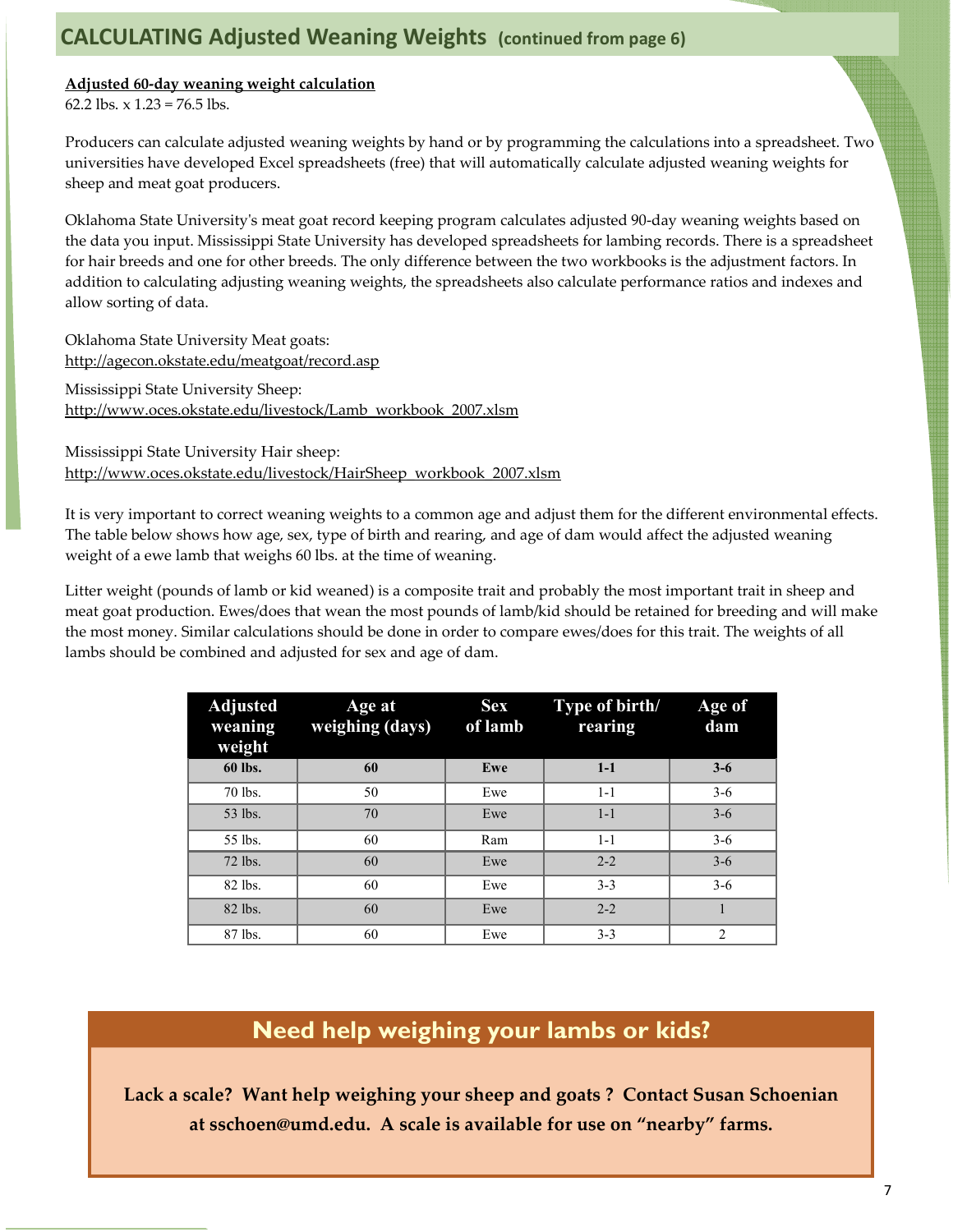### **Adjusted 60-day weaning weight calculation**

62.2 lbs.  $x 1.23 = 76.5$  lbs.

Producers can calculate adjusted weaning weights by hand or by programming the calculations into a spreadsheet. Two universities have developed Excel spreadsheets (free) that will automatically calculate adjusted weaning weights for sheep and meat goat producers.

Oklahoma State University's meat goat record keeping program calculates adjusted 90-day weaning weights based on the data you input. Mississippi State University has developed spreadsheets for lambing records. There is a spreadsheet for hair breeds and one for other breeds. The only difference between the two workbooks is the adjustment factors. In addition to calculating adjusting weaning weights, the spreadsheets also calculate performance ratios and indexes and allow sorting of data.

Oklahoma State University Meat goats: http://agecon.okstate.edu/meatgoat/record.asp Mississippi State University Sheep:

http://www.oces.okstate.edu/livestock/Lamb\_workbook\_2007.xlsm

Mississippi State University Hair sheep: http://www.oces.okstate.edu/livestock/HairSheep\_workbook\_2007.xlsm

It is very important to correct weaning weights to a common age and adjust them for the different environmental effects. The table below shows how age, sex, type of birth and rearing, and age of dam would affect the adjusted weaning weight of a ewe lamb that weighs 60 lbs. at the time of weaning.

Litter weight (pounds of lamb or kid weaned) is a composite trait and probably the most important trait in sheep and meat goat production. Ewes/does that wean the most pounds of lamb/kid should be retained for breeding and will make the most money. Similar calculations should be done in order to compare ewes/does for this trait. The weights of all lambs should be combined and adjusted for sex and age of dam.

| <b>Adjusted</b><br>Age at<br>weaning<br>weighing (days)<br>weight |    | <b>Sex</b><br>of lamb | Type of birth/<br>rearing | Age of<br>dam  |
|-------------------------------------------------------------------|----|-----------------------|---------------------------|----------------|
| 60 lbs.                                                           | 60 | Ewe                   | $1-1$                     | $3 - 6$        |
| 70 lbs.                                                           | 50 | Ewe                   | $1 - 1$                   | $3-6$          |
| 53 lbs.                                                           | 70 | Ewe                   | $1 - 1$                   | $3 - 6$        |
| 55 lbs.                                                           | 60 | Ram                   | $1 - 1$                   | $3-6$          |
| 72 lbs.                                                           | 60 | Ewe                   | $2 - 2$                   | $3 - 6$        |
| 82 lbs.                                                           | 60 | Ewe                   | $3 - 3$                   | $3 - 6$        |
| 82 lbs.                                                           | 60 | Ewe                   | $2 - 2$                   |                |
| 87 lbs.                                                           | 60 | Ewe                   | $3 - 3$                   | $\overline{2}$ |

### **Need help weighing your lambs or kids?**

**Lack a scale? Want help weighing your sheep and goats ? Contact Susan Schoenian at sschoen@umd.edu. A scale is available for use on "nearby" farms.**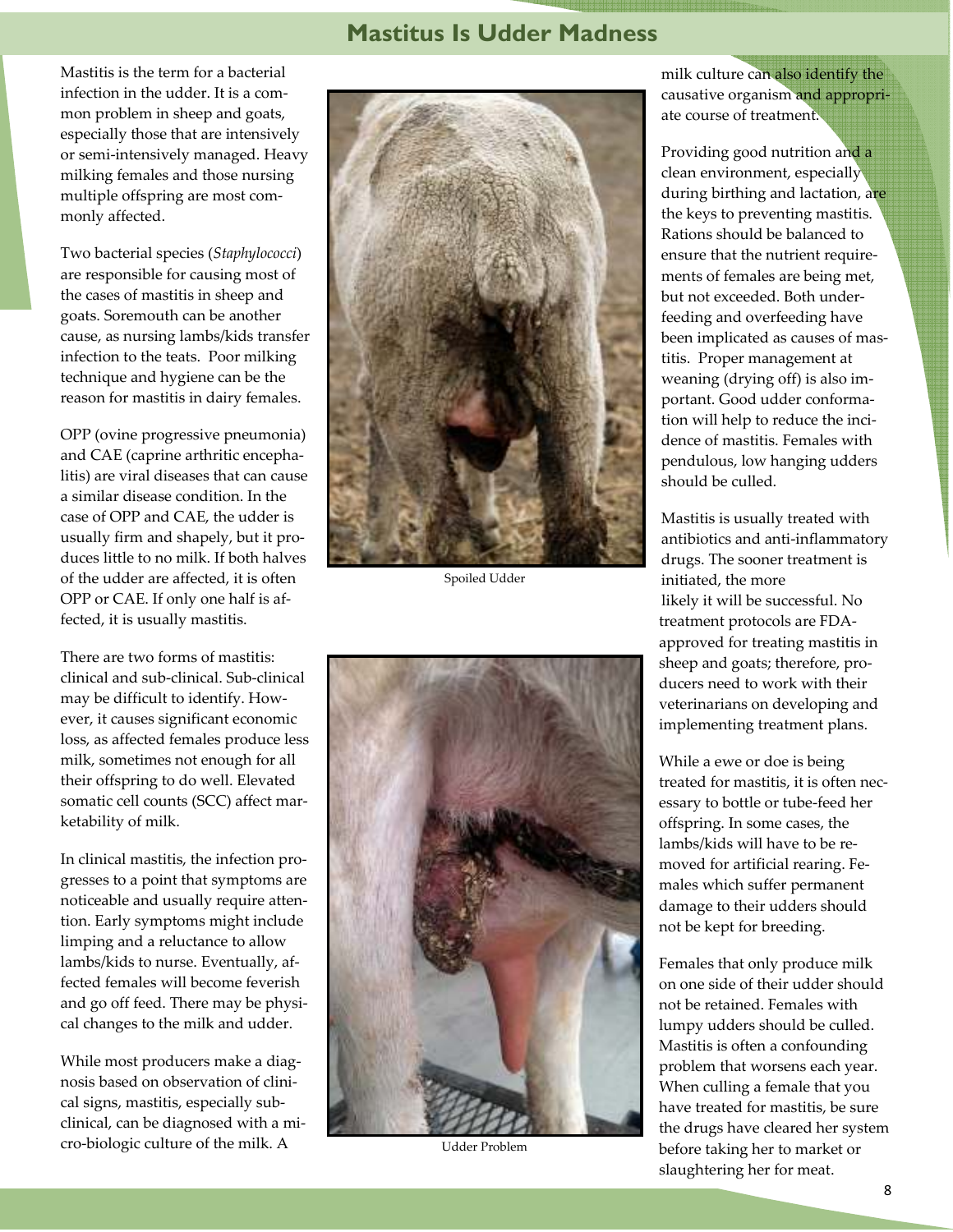### **Mastitus Is Udder Madness**

Mastitis is the term for a bacterial infection in the udder. It is a common problem in sheep and goats, especially those that are intensively or semi-intensively managed. Heavy milking females and those nursing multiple offspring are most commonly affected.

Two bacterial species (*Staphylococci*) are responsible for causing most of the cases of mastitis in sheep and goats. Soremouth can be another cause, as nursing lambs/kids transfer infection to the teats. Poor milking technique and hygiene can be the reason for mastitis in dairy females.

OPP (ovine progressive pneumonia) and CAE (caprine arthritic encephalitis) are viral diseases that can cause a similar disease condition. In the case of OPP and CAE, the udder is usually firm and shapely, but it produces little to no milk. If both halves of the udder are affected, it is often OPP or CAE. If only one half is affected, it is usually mastitis.

There are two forms of mastitis: clinical and sub-clinical. Sub-clinical may be difficult to identify. However, it causes significant economic loss, as affected females produce less milk, sometimes not enough for all their offspring to do well. Elevated somatic cell counts (SCC) affect marketability of milk.

In clinical mastitis, the infection progresses to a point that symptoms are noticeable and usually require attention. Early symptoms might include limping and a reluctance to allow lambs/kids to nurse. Eventually, affected females will become feverish and go off feed. There may be physical changes to the milk and udder.

While most producers make a diagnosis based on observation of clinical signs, mastitis, especially subclinical, can be diagnosed with a micro-biologic culture of the milk. A



Spoiled Udder



Udder Problem

milk culture can also identify the causative organism and appropriate course of treatment.

Providing good nutrition and a clean environment, especially during birthing and lactation, are the keys to preventing mastitis. Rations should be balanced to ensure that the nutrient requirements of females are being met, but not exceeded. Both underfeeding and overfeeding have been implicated as causes of mastitis. Proper management at weaning (drying off) is also important. Good udder conformation will help to reduce the incidence of mastitis. Females with pendulous, low hanging udders should be culled.

Mastitis is usually treated with antibiotics and anti-inflammatory drugs. The sooner treatment is initiated, the more likely it will be successful. No treatment protocols are FDAapproved for treating mastitis in sheep and goats; therefore, producers need to work with their veterinarians on developing and implementing treatment plans.

While a ewe or doe is being treated for mastitis, it is often necessary to bottle or tube-feed her offspring. In some cases, the lambs/kids will have to be removed for artificial rearing. Females which suffer permanent damage to their udders should not be kept for breeding.

Females that only produce milk on one side of their udder should not be retained. Females with lumpy udders should be culled. Mastitis is often a confounding problem that worsens each year. When culling a female that you have treated for mastitis, be sure the drugs have cleared her system before taking her to market or slaughtering her for meat.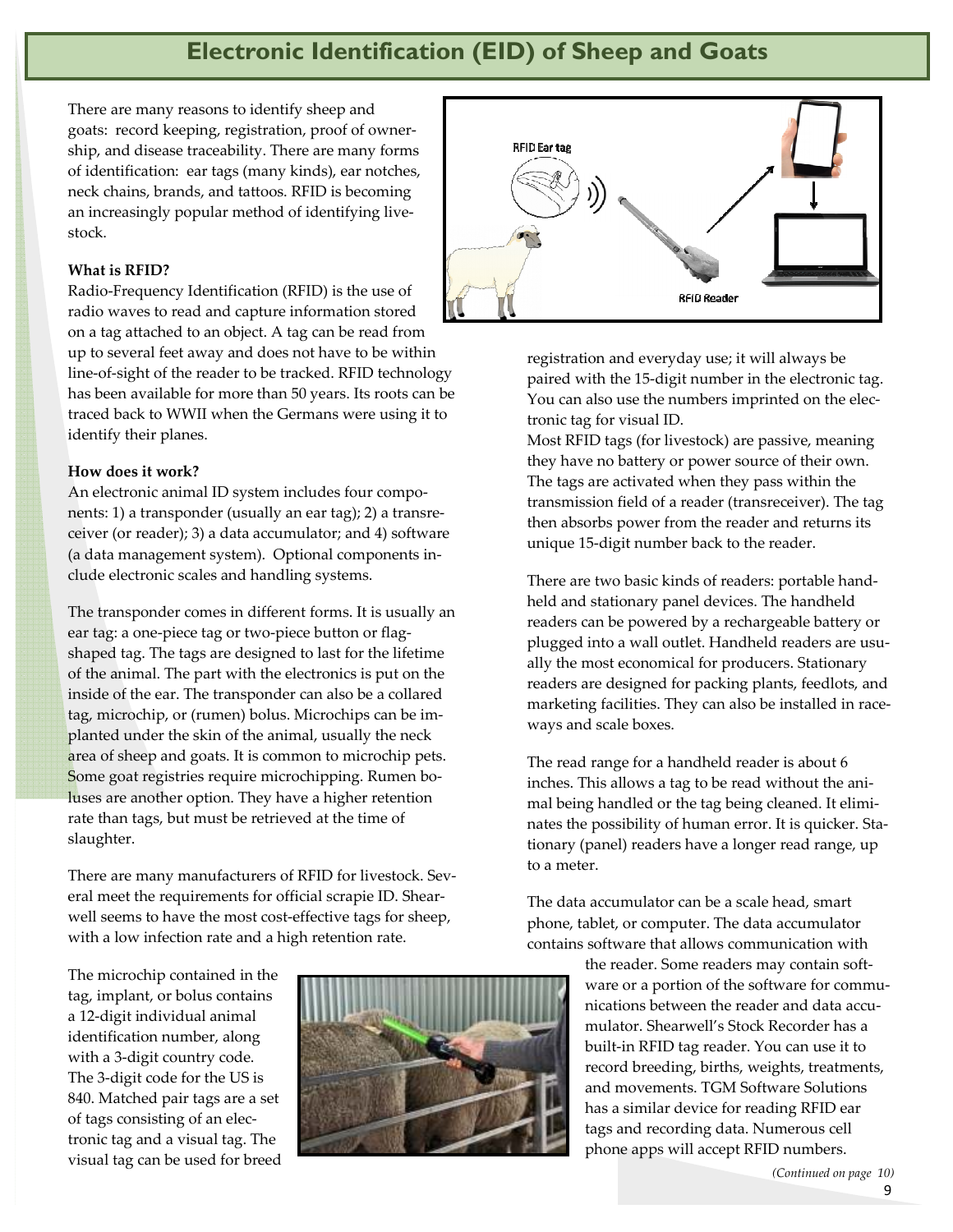### **Electronic Identification (EID) of Sheep and Goats**

There are many reasons to identify sheep and goats: record keeping, registration, proof of ownership, and disease traceability. There are many forms of identification: ear tags (many kinds), ear notches, neck chains, brands, and tattoos. RFID is becoming an increasingly popular method of identifying livestock.

#### **What is RFID?**

Radio-Frequency Identification (RFID) is the use of radio waves to read and capture information stored on a tag attached to an object. A tag can be read from up to several feet away and does not have to be within line-of-sight of the reader to be tracked. RFID technology has been available for more than 50 years. Its roots can be traced back to WWII when the Germans were using it to identify their planes.

#### **How does it work?**

An electronic animal ID system includes four components: 1) a transponder (usually an ear tag); 2) a transreceiver (or reader); 3) a data accumulator; and 4) software (a data management system). Optional components include electronic scales and handling systems.

The transponder comes in different forms. It is usually an ear tag: a one-piece tag or two-piece button or flagshaped tag. The tags are designed to last for the lifetime of the animal. The part with the electronics is put on the inside of the ear. The transponder can also be a collared tag, microchip, or (rumen) bolus. Microchips can be implanted under the skin of the animal, usually the neck area of sheep and goats. It is common to microchip pets. Some goat registries require microchipping. Rumen boluses are another option. They have a higher retention rate than tags, but must be retrieved at the time of slaughter.

There are many manufacturers of RFID for livestock. Several meet the requirements for official scrapie ID. Shearwell seems to have the most cost-effective tags for sheep, with a low infection rate and a high retention rate.

The microchip contained in the tag, implant, or bolus contains a 12-digit individual animal identification number, along with a 3-digit country code. The 3-digit code for the US is 840. Matched pair tags are a set of tags consisting of an electronic tag and a visual tag. The visual tag can be used for breed





registration and everyday use; it will always be paired with the 15-digit number in the electronic tag. You can also use the numbers imprinted on the electronic tag for visual ID.

Most RFID tags (for livestock) are passive, meaning they have no battery or power source of their own. The tags are activated when they pass within the transmission field of a reader (transreceiver). The tag then absorbs power from the reader and returns its unique 15-digit number back to the reader.

There are two basic kinds of readers: portable handheld and stationary panel devices. The handheld readers can be powered by a rechargeable battery or plugged into a wall outlet. Handheld readers are usually the most economical for producers. Stationary readers are designed for packing plants, feedlots, and marketing facilities. They can also be installed in raceways and scale boxes.

The read range for a handheld reader is about 6 inches. This allows a tag to be read without the animal being handled or the tag being cleaned. It eliminates the possibility of human error. It is quicker. Stationary (panel) readers have a longer read range, up to a meter.

The data accumulator can be a scale head, smart phone, tablet, or computer. The data accumulator contains software that allows communication with

> the reader. Some readers may contain software or a portion of the software for communications between the reader and data accumulator. Shearwell's Stock Recorder has a built-in RFID tag reader. You can use it to record breeding, births, weights, treatments, and movements. TGM Software Solutions has a similar device for reading RFID ear tags and recording data. Numerous cell phone apps will accept RFID numbers.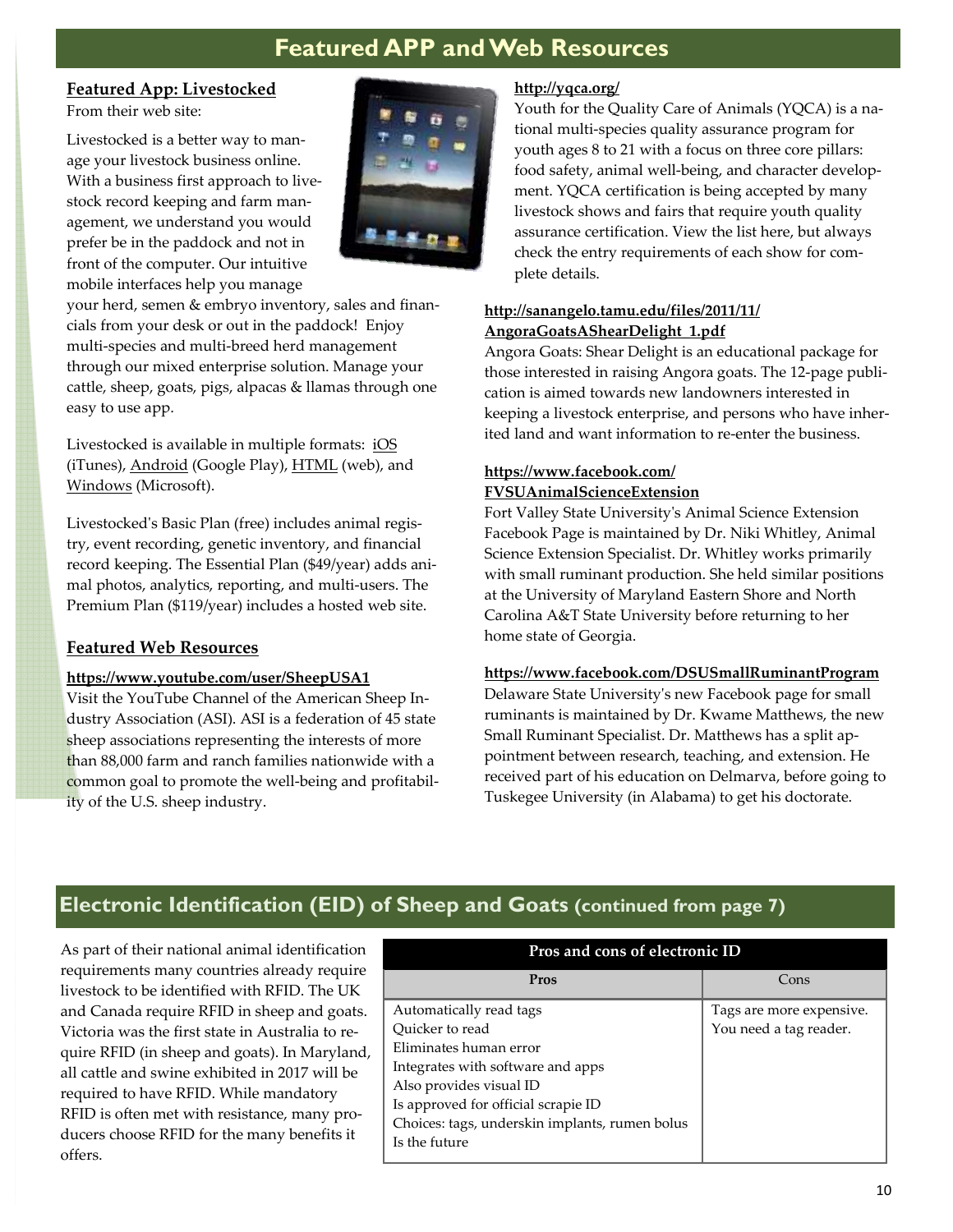## **Featured APP and Web Resources**

### **Featured App: Livestocked**

From their web site:

Livestocked is a better way to manage your livestock business online. With a business first approach to livestock record keeping and farm management, we understand you would prefer be in the paddock and not in front of the computer. Our intuitive mobile interfaces help you manage



your herd, semen & embryo inventory, sales and financials from your desk or out in the paddock! Enjoy multi-species and multi-breed herd management through our mixed enterprise solution. Manage your cattle, sheep, goats, pigs, alpacas & llamas through one easy to use app.

Livestocked is available in multiple formats: iOS (iTunes), Android (Google Play), HTML (web), and Windows (Microsoft).

Livestocked's Basic Plan (free) includes animal registry, event recording, genetic inventory, and financial record keeping. The Essential Plan (\$49/year) adds animal photos, analytics, reporting, and multi-users. The Premium Plan (\$119/year) includes a hosted web site.

### **Featured Web Resources**

### **https://www.youtube.com/user/SheepUSA1**

Visit the YouTube Channel of the American Sheep Industry Association (ASI). ASI is a federation of 45 state sheep associations representing the interests of more than 88,000 farm and ranch families nationwide with a common goal to promote the well-being and profitability of the U.S. sheep industry.

### **http://yqca.org/**

Youth for the Quality Care of Animals (YQCA) is a national multi-species quality assurance program for youth ages 8 to 21 with a focus on three core pillars: food safety, animal well-being, and character development. YQCA certification is being accepted by many livestock shows and fairs that require youth quality assurance certification. View the list here, but always check the entry requirements of each show for complete details.

### **http://sanangelo.tamu.edu/files/2011/11/ AngoraGoatsAShearDelight\_1.pdf**

Angora Goats: Shear Delight is an educational package for those interested in raising Angora goats. The 12-page publication is aimed towards new landowners interested in keeping a livestock enterprise, and persons who have inherited land and want information to re-enter the business.

### **https://www.facebook.com/ FVSUAnimalScienceExtension**

Fort Valley State University's Animal Science Extension Facebook Page is maintained by Dr. Niki Whitley, Animal Science Extension Specialist. Dr. Whitley works primarily with small ruminant production. She held similar positions at the University of Maryland Eastern Shore and North Carolina A&T State University before returning to her home state of Georgia.

### **https://www.facebook.com/DSUSmallRuminantProgram**

Delaware State University's new Facebook page for small ruminants is maintained by Dr. Kwame Matthews, the new Small Ruminant Specialist. Dr. Matthews has a split appointment between research, teaching, and extension. He received part of his education on Delmarva, before going to Tuskegee University (in Alabama) to get his doctorate.

### **Electronic Identification (EID) of Sheep and Goats (continued from page 7)**

As part of their national animal identification requirements many countries already require livestock to be identified with RFID. The UK and Canada require RFID in sheep and goats. Victoria was the first state in Australia to require RFID (in sheep and goats). In Maryland, all cattle and swine exhibited in 2017 will be required to have RFID. While mandatory RFID is often met with resistance, many producers choose RFID for the many benefits it offers.

| Pros and cons of electronic ID                 |                          |  |  |  |  |
|------------------------------------------------|--------------------------|--|--|--|--|
| Pros                                           | Cons                     |  |  |  |  |
| Automatically read tags                        | Tags are more expensive. |  |  |  |  |
| Ouicker to read                                | You need a tag reader.   |  |  |  |  |
| Eliminates human error                         |                          |  |  |  |  |
| Integrates with software and apps              |                          |  |  |  |  |
| Also provides visual ID                        |                          |  |  |  |  |
| Is approved for official scrapie ID            |                          |  |  |  |  |
| Choices: tags, underskin implants, rumen bolus |                          |  |  |  |  |
| Is the future                                  |                          |  |  |  |  |